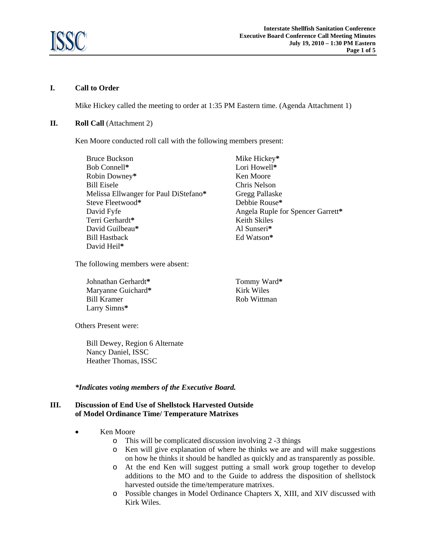

# **I. Call to Order**

Mike Hickey called the meeting to order at 1:35 PM Eastern time. (Agenda Attachment 1)

# **II. Roll Call** (Attachment 2)

Ken Moore conducted roll call with the following members present:

Bruce Buckson Bob Connell**\***  Robin Downey**\***  Bill Eisele Melissa Ellwanger for Paul DiStefano**\***  Steve Fleetwood**\***  David Fyfe Terri Gerhardt**\***  David Guilbeau**\***  Bill Hastback David Heil**\*** 

The following members were absent:

Johnathan Gerhardt**\***  Maryanne Guichard**\***  Bill Kramer Larry Simns**\***

Lori Howell**\***  Ken Moore Chris Nelson Gregg Pallaske Debbie Rouse**\***  Angela Ruple for Spencer Garrett**\***  Keith Skiles Al Sunseri**\*** Ed Watson**\*** 

Tommy Ward**\*** Kirk Wiles Rob Wittman

Mike Hickey**\*** 

Others Present were:

Bill Dewey, Region 6 Alternate Nancy Daniel, ISSC Heather Thomas, ISSC

# *\*Indicates voting members of the Executive Board.*

# **III. Discussion of End Use of Shellstock Harvested Outside of Model Ordinance Time/ Temperature Matrixes**

- Ken Moore
	- o This will be complicated discussion involving 2 -3 things
	- o Ken will give explanation of where he thinks we are and will make suggestions on how he thinks it should be handled as quickly and as transparently as possible.
	- o At the end Ken will suggest putting a small work group together to develop additions to the MO and to the Guide to address the disposition of shellstock harvested outside the time/temperature matrixes.
	- o Possible changes in Model Ordinance Chapters X, XIII, and XIV discussed with Kirk Wiles.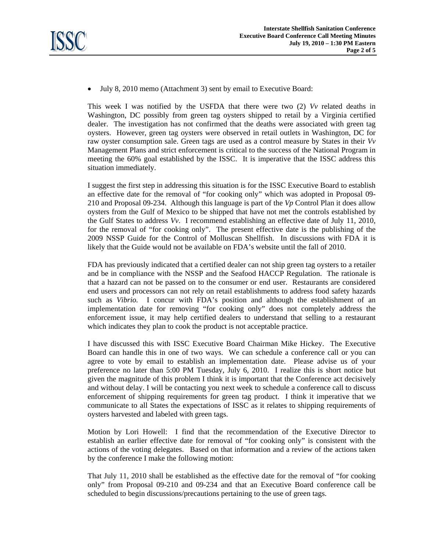

• July 8, 2010 memo (Attachment 3) sent by email to Executive Board:

This week I was notified by the USFDA that there were two (2) *Vv* related deaths in Washington, DC possibly from green tag oysters shipped to retail by a Virginia certified dealer. The investigation has not confirmed that the deaths were associated with green tag oysters. However, green tag oysters were observed in retail outlets in Washington, DC for raw oyster consumption sale. Green tags are used as a control measure by States in their *Vv*  Management Plans and strict enforcement is critical to the success of the National Program in meeting the 60% goal established by the ISSC. It is imperative that the ISSC address this situation immediately.

I suggest the first step in addressing this situation is for the ISSC Executive Board to establish an effective date for the removal of "for cooking only" which was adopted in Proposal 09- 210 and Proposal 09-234. Although this language is part of the *Vp* Control Plan it does allow oysters from the Gulf of Mexico to be shipped that have not met the controls established by the Gulf States to address *Vv*. I recommend establishing an effective date of July 11, 2010, for the removal of "for cooking only". The present effective date is the publishing of the 2009 NSSP Guide for the Control of Molluscan Shellfish. In discussions with FDA it is likely that the Guide would not be available on FDA's website until the fall of 2010.

FDA has previously indicated that a certified dealer can not ship green tag oysters to a retailer and be in compliance with the NSSP and the Seafood HACCP Regulation. The rationale is that a hazard can not be passed on to the consumer or end user. Restaurants are considered end users and processors can not rely on retail establishments to address food safety hazards such as *Vibrio.* I concur with FDA's position and although the establishment of an implementation date for removing "for cooking only" does not completely address the enforcement issue, it may help certified dealers to understand that selling to a restaurant which indicates they plan to cook the product is not acceptable practice.

I have discussed this with ISSC Executive Board Chairman Mike Hickey. The Executive Board can handle this in one of two ways. We can schedule a conference call or you can agree to vote by email to establish an implementation date. Please advise us of your preference no later than 5:00 PM Tuesday, July 6, 2010. I realize this is short notice but given the magnitude of this problem I think it is important that the Conference act decisively and without delay. I will be contacting you next week to schedule a conference call to discuss enforcement of shipping requirements for green tag product. I think it imperative that we communicate to all States the expectations of ISSC as it relates to shipping requirements of oysters harvested and labeled with green tags.

Motion by Lori Howell: I find that the recommendation of the Executive Director to establish an earlier effective date for removal of "for cooking only" is consistent with the actions of the voting delegates. Based on that information and a review of the actions taken by the conference I make the following motion:

That July 11, 2010 shall be established as the effective date for the removal of "for cooking only" from Proposal 09-210 and 09-234 and that an Executive Board conference call be scheduled to begin discussions/precautions pertaining to the use of green tags.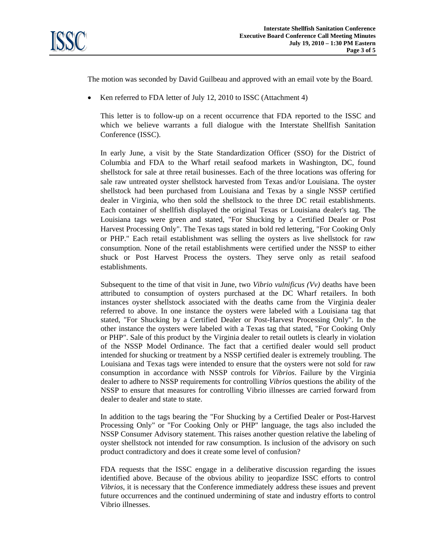

The motion was seconded by David Guilbeau and approved with an email vote by the Board.

• Ken referred to FDA letter of July 12, 2010 to ISSC (Attachment 4)

This letter is to follow-up on a recent occurrence that FDA reported to the ISSC and which we believe warrants a full dialogue with the Interstate Shellfish Sanitation Conference (ISSC).

In early June, a visit by the State Standardization Officer (SSO) for the District of Columbia and FDA to the Wharf retail seafood markets in Washington, DC, found shellstock for sale at three retail businesses. Each of the three locations was offering for sale raw untreated oyster shellstock harvested from Texas and/or Louisiana. The oyster shellstock had been purchased from Louisiana and Texas by a single NSSP certified dealer in Virginia, who then sold the shellstock to the three DC retail establishments. Each container of shellfish displayed the original Texas or Louisiana dealer's tag. The Louisiana tags were green and stated, "For Shucking by a Certified Dealer or Post Harvest Processing Only". The Texas tags stated in bold red lettering, "For Cooking Only or PHP." Each retail establishment was selling the oysters as live shellstock for raw consumption. None of the retail establishments were certified under the NSSP to either shuck or Post Harvest Process the oysters. They serve only as retail seafood establishments.

Subsequent to the time of that visit in June, two *Vibrio vulnificus (Vv)* deaths have been attributed to consumption of oysters purchased at the DC Wharf retailers. In both instances oyster shellstock associated with the deaths came from the Virginia dealer referred to above. In one instance the oysters were labeled with a Louisiana tag that stated, "For Shucking by a Certified Dealer or Post-Harvest Processing Only". In the other instance the oysters were labeled with a Texas tag that stated, "For Cooking Only or PHP". Sale of this product by the Virginia dealer to retail outlets is clearly in violation of the NSSP Model Ordinance. The fact that a certified dealer would sell product intended for shucking or treatment by a NSSP certified dealer is extremely troubling. The Louisiana and Texas tags were intended to ensure that the oysters were not sold for raw consumption in accordance with NSSP controls for *Vibrios*. Failure by the Virginia dealer to adhere to NSSP requirements for controlling *Vibrio*s questions the ability of the NSSP to ensure that measures for controlling Vibrio illnesses are carried forward from dealer to dealer and state to state.

In addition to the tags bearing the "For Shucking by a Certified Dealer or Post-Harvest Processing Only" or "For Cooking Only or PHP" language, the tags also included the NSSP Consumer Advisory statement. This raises another question relative the labeling of oyster shellstock not intended for raw consumption. Is inclusion of the advisory on such product contradictory and does it create some level of confusion?

FDA requests that the ISSC engage in a deliberative discussion regarding the issues identified above. Because of the obvious ability to jeopardize ISSC efforts to control *Vibrios*, it is necessary that the Conference immediately address these issues and prevent future occurrences and the continued undermining of state and industry efforts to control Vibrio illnesses.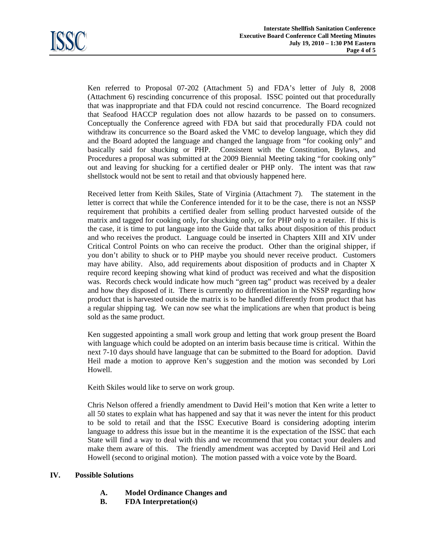

Ken referred to Proposal 07-202 (Attachment 5) and FDA's letter of July 8, 2008 (Attachment 6) rescinding concurrence of this proposal. ISSC pointed out that procedurally that was inappropriate and that FDA could not rescind concurrence. The Board recognized that Seafood HACCP regulation does not allow hazards to be passed on to consumers. Conceptually the Conference agreed with FDA but said that procedurally FDA could not withdraw its concurrence so the Board asked the VMC to develop language, which they did and the Board adopted the language and changed the language from "for cooking only" and basically said for shucking or PHP. Consistent with the Constitution, Bylaws, and Procedures a proposal was submitted at the 2009 Biennial Meeting taking "for cooking only" out and leaving for shucking for a certified dealer or PHP only. The intent was that raw shellstock would not be sent to retail and that obviously happened here.

Received letter from Keith Skiles, State of Virginia (Attachment 7). The statement in the letter is correct that while the Conference intended for it to be the case, there is not an NSSP requirement that prohibits a certified dealer from selling product harvested outside of the matrix and tagged for cooking only, for shucking only, or for PHP only to a retailer. If this is the case, it is time to put language into the Guide that talks about disposition of this product and who receives the product. Language could be inserted in Chapters XIII and XIV under Critical Control Points on who can receive the product. Other than the original shipper, if you don't ability to shuck or to PHP maybe you should never receive product. Customers may have ability. Also, add requirements about disposition of products and in Chapter X require record keeping showing what kind of product was received and what the disposition was. Records check would indicate how much "green tag" product was received by a dealer and how they disposed of it. There is currently no differentiation in the NSSP regarding how product that is harvested outside the matrix is to be handled differently from product that has a regular shipping tag. We can now see what the implications are when that product is being sold as the same product.

Ken suggested appointing a small work group and letting that work group present the Board with language which could be adopted on an interim basis because time is critical. Within the next 7-10 days should have language that can be submitted to the Board for adoption. David Heil made a motion to approve Ken's suggestion and the motion was seconded by Lori Howell.

Keith Skiles would like to serve on work group.

Chris Nelson offered a friendly amendment to David Heil's motion that Ken write a letter to all 50 states to explain what has happened and say that it was never the intent for this product to be sold to retail and that the ISSC Executive Board is considering adopting interim language to address this issue but in the meantime it is the expectation of the ISSC that each State will find a way to deal with this and we recommend that you contact your dealers and make them aware of this. The friendly amendment was accepted by David Heil and Lori Howell (second to original motion). The motion passed with a voice vote by the Board.

# **IV. Possible Solutions**

- **A. Model Ordinance Changes and**
- **B. FDA Interpretation(s)**